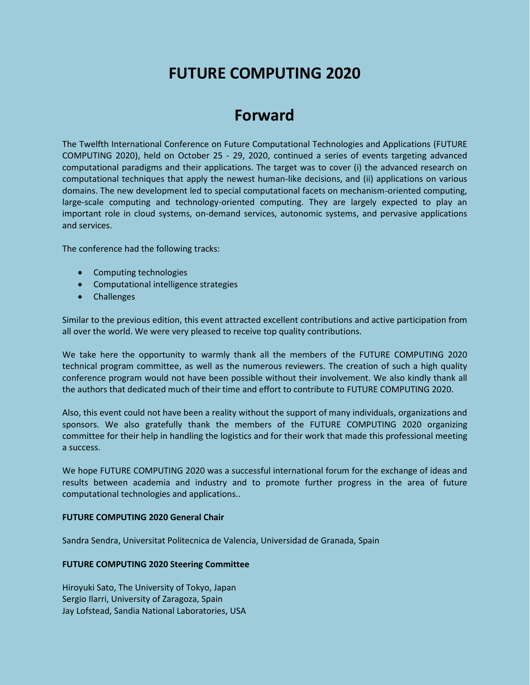# **FUTURE COMPUTING 2020**

# **Forward**

The Twelfth International Conference on Future Computational Technologies and Applications (FUTURE COMPUTING 2020), held on October 25 - 29, 2020, continued a series of events targeting advanced computational paradigms and their applications. The target was to cover (i) the advanced research on computational techniques that apply the newest human-like decisions, and (ii) applications on various domains. The new development led to special computational facets on mechanism-oriented computing, large-scale computing and technology-oriented computing. They are largely expected to play an important role in cloud systems, on-demand services, autonomic systems, and pervasive applications and services.

The conference had the following tracks:

- Computing technologies
- Computational intelligence strategies
- Challenges

Similar to the previous edition, this event attracted excellent contributions and active participation from all over the world. We were very pleased to receive top quality contributions.

We take here the opportunity to warmly thank all the members of the FUTURE COMPUTING 2020 technical program committee, as well as the numerous reviewers. The creation of such a high quality conference program would not have been possible without their involvement. We also kindly thank all the authors that dedicated much of their time and effort to contribute to FUTURE COMPUTING 2020.

Also, this event could not have been a reality without the support of many individuals, organizations and sponsors. We also gratefully thank the members of the FUTURE COMPUTING 2020 organizing committee for their help in handling the logistics and for their work that made this professional meeting a success.

We hope FUTURE COMPUTING 2020 was a successful international forum for the exchange of ideas and results between academia and industry and to promote further progress in the area of future computational technologies and applications..

#### **FUTURE COMPUTING 2020 General Chair**

Sandra Sendra, Universitat Politecnica de Valencia, Universidad de Granada, Spain

#### **FUTURE COMPUTING 2020 Steering Committee**

Hiroyuki Sato, The University of Tokyo, Japan Sergio Ilarri, University of Zaragoza, Spain Jay Lofstead, Sandia National Laboratories, USA